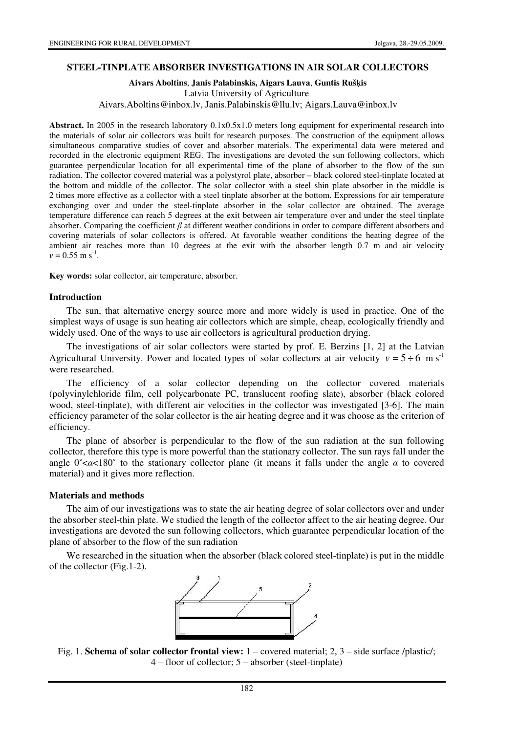#### **STEEL-TINPLATE ABSORBER INVESTIGATIONS IN AIR SOLAR COLLECTORS**

### **Aivars Aboltins**, **Janis Palabinskis, Aigars Lauva**, **Guntis Ruš**ķ**is**  Latvia University of Agriculture Aivars.Aboltins@inbox.lv, Janis.Palabinskis@llu.lv; Aigars.Lauva@inbox.lv

**Abstract.** In 2005 in the research laboratory 0.1x0.5x1.0 meters long equipment for experimental research into the materials of solar air collectors was built for research purposes. The construction of the equipment allows simultaneous comparative studies of cover and absorber materials. The experimental data were metered and recorded in the electronic equipment REG. The investigations are devoted the sun following collectors, which guarantee perpendicular location for all experimental time of the plane of absorber to the flow of the sun radiation. The collector covered material was a polystyrol plate, absorber – black colored steel-tinplate located at the bottom and middle of the collector. The solar collector with a steel shin plate absorber in the middle is 2 times more effective as a collector with a steel tinplate absorber at the bottom. Expressions for air temperature exchanging over and under the steel-tinplate absorber in the solar collector are obtained. The average temperature difference can reach 5 degrees at the exit between air temperature over and under the steel tinplate absorber. Comparing the coefficient  $\beta$  at different weather conditions in order to compare different absorbers and covering materials of solar collectors is offered. At favorable weather conditions the heating degree of the ambient air reaches more than 10 degrees at the exit with the absorber length 0.7 m and air velocity  $v = 0.55$  m s<sup>-1</sup>.

**Key words:** solar collector, air temperature, absorber.

#### **Introduction**

The sun, that alternative energy source more and more widely is used in practice. One of the simplest ways of usage is sun heating air collectors which are simple, cheap, ecologically friendly and widely used. One of the ways to use air collectors is agricultural production drying.

The investigations of air solar collectors were started by prof. E. Berzins [1, 2] at the Latvian Agricultural University. Power and located types of solar collectors at air velocity  $v = 5 \div 6$  m s<sup>-1</sup> were researched.

The efficiency of a solar collector depending on the collector covered materials (polyvinylchloride film, cell polycarbonate PC, translucent roofing slate), absorber (black colored wood, steel-tinplate), with different air velocities in the collector was investigated [3-6]. The main efficiency parameter of the solar collector is the air heating degree and it was choose as the criterion of efficiency.

The plane of absorber is perpendicular to the flow of the sun radiation at the sun following collector, therefore this type is more powerful than the stationary collector. The sun rays fall under the angle  $0<\alpha<180^\circ$  to the stationary collector plane (it means it falls under the angle  $\alpha$  to covered material) and it gives more reflection.

#### **Materials and methods**

The aim of our investigations was to state the air heating degree of solar collectors over and under the absorber steel-thin plate. We studied the length of the collector affect to the air heating degree. Our investigations are devoted the sun following collectors, which guarantee perpendicular location of the plane of absorber to the flow of the sun radiation

We researched in the situation when the absorber (black colored steel-tinplate) is put in the middle of the collector (Fig.1-2).



Fig. 1. **Schema of solar collector frontal view:** 1 – covered material; 2, 3 – side surface /plastic/; 4 – floor of collector; 5 – absorber (steel-tinplate)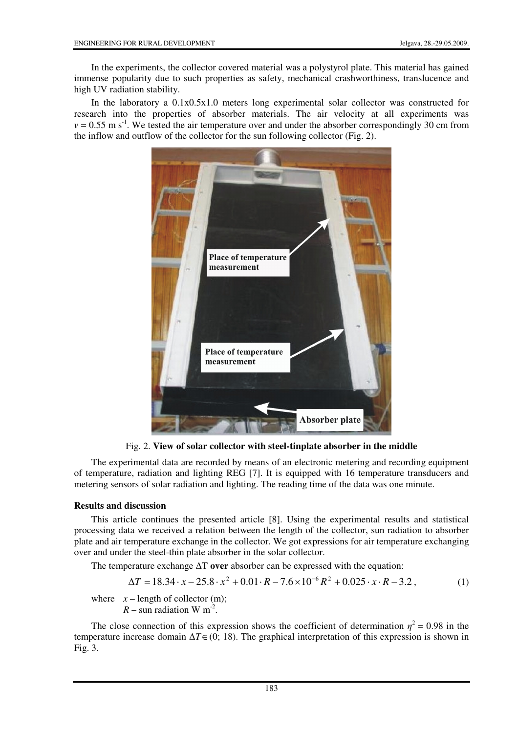In the experiments, the collector covered material was a polystyrol plate. This material has gained immense popularity due to such properties as safety, mechanical crashworthiness, translucence and high UV radiation stability.

In the laboratory a 0.1x0.5x1.0 meters long experimental solar collector was constructed for research into the properties of absorber materials. The air velocity at all experiments was  $v = 0.55$  m s<sup>-1</sup>. We tested the air temperature over and under the absorber correspondingly 30 cm from the inflow and outflow of the collector for the sun following collector (Fig. 2).



Fig. 2. **View of solar collector with steel-tinplate absorber in the middle** 

The experimental data are recorded by means of an electronic metering and recording equipment of temperature, radiation and lighting REG [7]. It is equipped with 16 temperature transducers and metering sensors of solar radiation and lighting. The reading time of the data was one minute.

## **Results and discussion**

This article continues the presented article [8]. Using the experimental results and statistical processing data we received a relation between the length of the collector, sun radiation to absorber plate and air temperature exchange in the collector. We got expressions for air temperature exchanging over and under the steel-thin plate absorber in the solar collector.

The temperature exchange ∆T **over** absorber can be expressed with the equation:

$$
\Delta T = 18.34 \cdot x - 25.8 \cdot x^2 + 0.01 \cdot R - 7.6 \times 10^{-6} R^2 + 0.025 \cdot x \cdot R - 3.2 \,, \tag{1}
$$

where  $x$  – length of collector (m);  $R$  – sun radiation W m<sup>-2</sup>.

The close connection of this expression shows the coefficient of determination  $\eta^2 = 0.98$  in the temperature increase domain ∆*T*∈(0; 18). The graphical interpretation of this expression is shown in Fig. 3.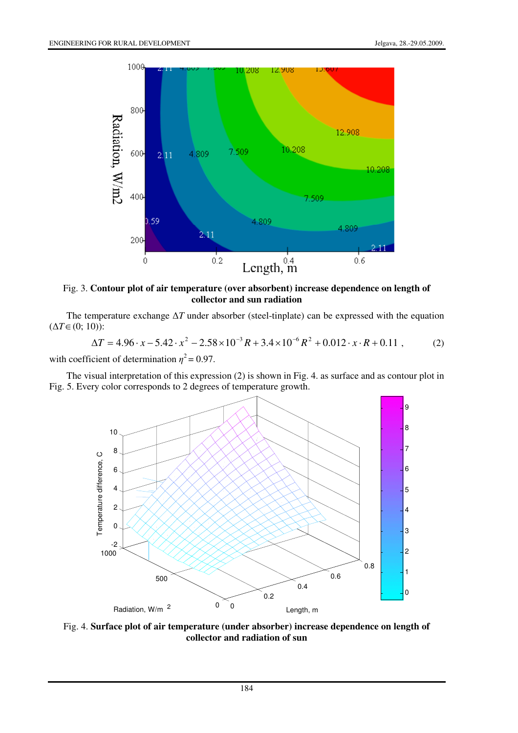

Fig. 3. **Contour plot of air temperature (over absorbent) increase dependence on length of collector and sun radiation** 

The temperature exchange ∆*T* under absorber (steel-tinplate) can be expressed with the equation (∆*T*∈(0; 10)):

$$
\Delta T = 4.96 \cdot x - 5.42 \cdot x^2 - 2.58 \times 10^{-3} R + 3.4 \times 10^{-6} R^2 + 0.012 \cdot x \cdot R + 0.11 , \qquad (2)
$$

with coefficient of determination  $\eta^2 = 0.97$ .

The visual interpretation of this expression (2) is shown in Fig. 4. as surface and as contour plot in Fig. 5. Every color corresponds to 2 degrees of temperature growth.



Fig. 4. **Surface plot of air temperature (under absorber) increase dependence on length of collector and radiation of sun**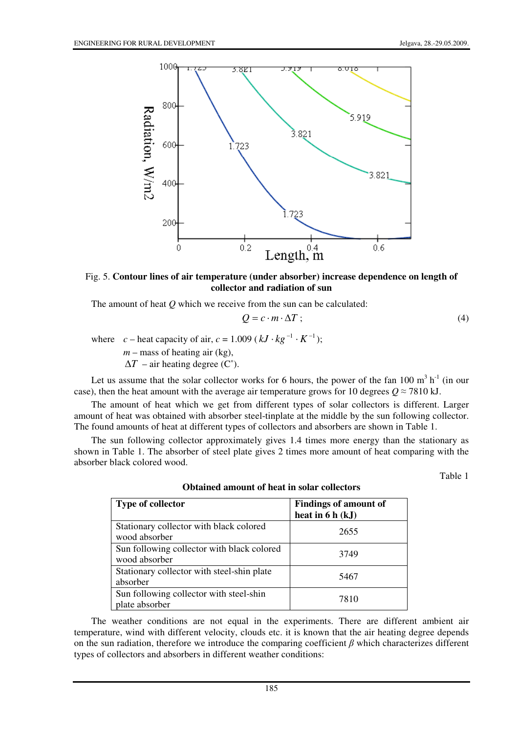

Fig. 5. **Contour lines of air temperature (under absorber) increase dependence on length of collector and radiation of sun** 

The amount of heat *Q* which we receive from the sun can be calculated:

$$
Q = c \cdot m \cdot \Delta T \tag{4}
$$

where *c* – heat capacity of air,  $c = 1.009$  ( $kJ \cdot kg^{-1} \cdot K^{-1}$ ); *m* – mass of heating air (kg),  $\Delta T$  – air heating degree (C°).

Let us assume that the solar collector works for 6 hours, the power of the fan 100  $m^3 h^{-1}$  (in our case), then the heat amount with the average air temperature grows for 10 degrees  $Q \approx 7810$  kJ.

The amount of heat which we get from different types of solar collectors is different. Larger amount of heat was obtained with absorber steel-tinplate at the middle by the sun following collector. The found amounts of heat at different types of collectors and absorbers are shown in Table 1.

The sun following collector approximately gives 1.4 times more energy than the stationary as shown in Table 1. The absorber of steel plate gives 2 times more amount of heat comparing with the absorber black colored wood.

Table 1

| Type of collector                                           | <b>Findings of amount of</b><br>heat in $6 h (kJ)$ |
|-------------------------------------------------------------|----------------------------------------------------|
| Stationary collector with black colored<br>wood absorber    | 2655                                               |
| Sun following collector with black colored<br>wood absorber | 3749                                               |
| Stationary collector with steel-shin plate<br>absorber      | 5467                                               |
| Sun following collector with steel-shin<br>plate absorber   | 7810                                               |

**Obtained amount of heat in solar collectors** 

The weather conditions are not equal in the experiments. There are different ambient air temperature, wind with different velocity, clouds etc. it is known that the air heating degree depends on the sun radiation, therefore we introduce the comparing coefficient  $\beta$  which characterizes different types of collectors and absorbers in different weather conditions: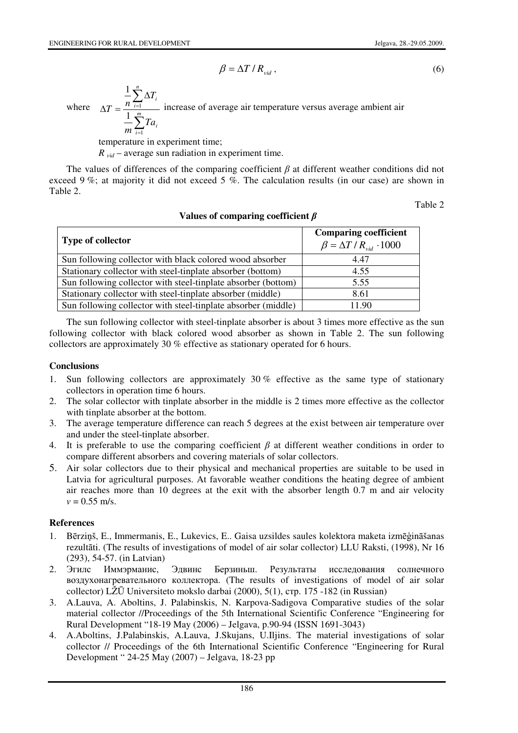$$
\beta = \Delta T / R_{\rm vid} \,, \tag{6}
$$

where ∑  $\sum_{i=1}$ = ∆  $\Delta T = \frac{n_{i=1}}{1 - m}$ *i i n*  $\sum_{i=1}$   $\sum_i$   $\sum_i$  *i Ta m T*  $T=\frac{n}{1-m}$ 1 1 1 increase of average air temperature versus average ambient air

temperature in experiment time;  $R_{\text{vid}}$  – average sun radiation in experiment time.

The values of differences of the comparing coefficient  $\beta$  at different weather conditions did not exceed 9 %; at majority it did not exceed 5 %. The calculation results (in our case) are shown in Table 2.

Table 2

# **Values of comparing coefficient** β

| <b>Type of collector</b>                                      | <b>Comparing coefficient</b><br>$\beta = \Delta T/R_{vid} \cdot 1000$ |
|---------------------------------------------------------------|-----------------------------------------------------------------------|
| Sun following collector with black colored wood absorber      | 4.47                                                                  |
| Stationary collector with steel-tinplate absorber (bottom)    | 4.55                                                                  |
| Sun following collector with steel-tinplate absorber (bottom) | 5.55                                                                  |
| Stationary collector with steel-tinplate absorber (middle)    | 8.61                                                                  |
| Sun following collector with steel-tinplate absorber (middle) | 11.90                                                                 |

The sun following collector with steel-tinplate absorber is about 3 times more effective as the sun following collector with black colored wood absorber as shown in Table 2. The sun following collectors are approximately 30 % effective as stationary operated for 6 hours.

## **Conclusions**

- 1. Sun following collectors are approximately 30 % effective as the same type of stationary collectors in operation time 6 hours.
- 2. The solar collector with tinplate absorber in the middle is 2 times more effective as the collector with tinplate absorber at the bottom.
- 3. The average temperature difference can reach 5 degrees at the exist between air temperature over and under the steel-tinplate absorber.
- 4. It is preferable to use the comparing coefficient  $\beta$  at different weather conditions in order to compare different absorbers and covering materials of solar collectors.
- 5. Air solar collectors due to their physical and mechanical properties are suitable to be used in Latvia for agricultural purposes. At favorable weather conditions the heating degree of ambient air reaches more than 10 degrees at the exit with the absorber length 0.7 m and air velocity  $v = 0.55$  m/s.

## **References**

- 1. Bērziņš, E., Immermanis, E., Lukevics, E.. Gaisa uzsildes saules kolektora maketa izmēģināšanas rezultāti. (The results of investigations of model of air solar collector) LLU Raksti, (1998), Nr 16 (293), 54-57. (in Latvian)
- 2. Эгилс Иммэрманис, Эдвинс Берзиньш. Результаты исследования солнечного воздухонагревательного коллектора. (The results of investigations of model of air solar collector) LŽŪ Universiteto mokslo darbai (2000), 5(1), стр. 175 -182 (in Russian)
- 3. A.Lauva, A. Aboltins, J. Palabinskis, N. Karpova-Sadigova Comparative studies of the solar material collector //Proceedings of the 5th International Scientific Conference "Engineering for Rural Development "18-19 May (2006) – Jelgava, p.90-94 (ISSN 1691-3043)
- 4. A.Aboltins, J.Palabinskis, A.Lauva, J.Skujans, U.Iljins. The material investigations of solar collector // Proceedings of the 6th International Scientific Conference "Engineering for Rural Development " 24-25 May (2007) – Jelgava, 18-23 pp